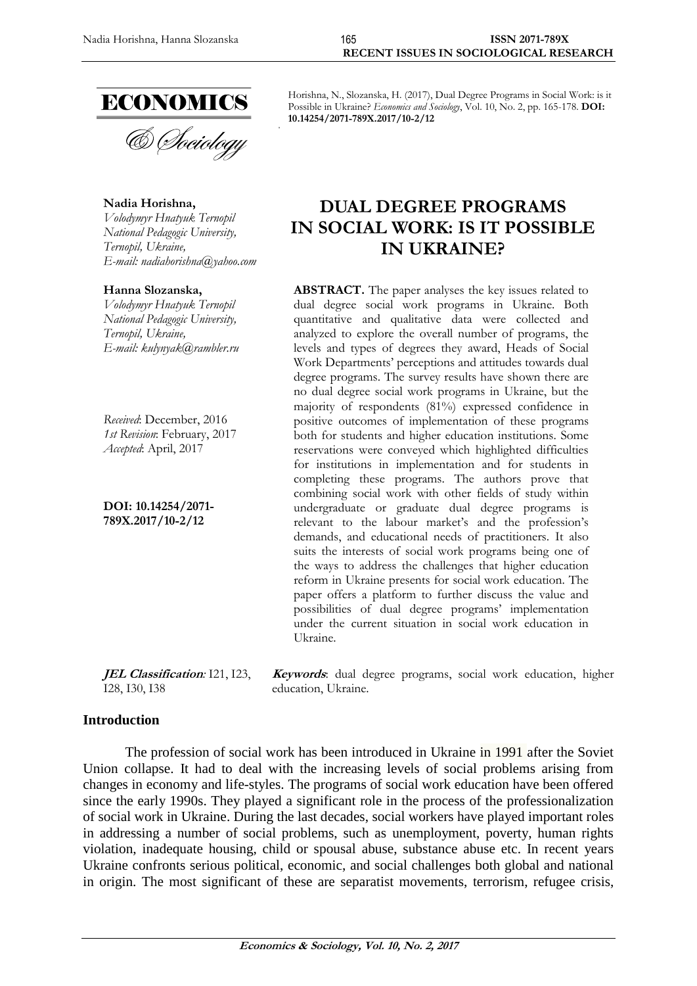

**Nadia Horishna,** *Volodymyr Hnatyuk Ternopil National Pedagogic University, Ternopil, Ukraine, E-mail: [nadiahorishna@yahoo.com](mailto:nadiahorishna@yahoo.com)*

**Hanna Slozanska,** *Volodymyr Hnatyuk Ternopil National Pedagogic University, Ternopil, Ukraine, E-mail: kulynyak@rambler.ru*

*Received*: December, 2016 *1st Revision*: February, 2017 *Accepted*: April, 2017

**DOI: 10.14254/2071- 789X.2017/10-2/12**

Horishna, N., Slozanska, H. (2017), Dual Degree Programs in Social Work: is it Possible in Ukraine? *Economics and Sociology*, Vol. 10, No. 2, pp. 165-178. **DOI: 10.14254/2071-789X.2017/10-2/12**

# **DUAL DEGREE PROGRAMS IN SOCIAL WORK: IS IT POSSIBLE IN UKRAINE?**

**ABSTRACT.** The paper analyses the key issues related to dual degree social work programs in Ukraine. Both quantitative and qualitative data were collected and analyzed to explore the overall number of programs, the levels and types of degrees they award, Heads of Social Work Departments' perceptions and attitudes towards dual degree programs. The survey results have shown there are no dual degree social work programs in Ukraine, but the majority of respondents (81%) expressed confidence in positive outcomes of implementation of these programs both for students and higher education institutions. Some reservations were conveyed which highlighted difficulties for institutions in implementation and for students in completing these programs. The authors prove that combining social work with other fields of study within undergraduate or graduate dual degree programs is relevant to the labour market's and the profession's demands, and educational needs of practitioners. It also suits the interests of social work programs being one of the ways to address the challenges that higher education reform in Ukraine presents for social work education. The paper offers a platform to further discuss the value and possibilities of dual degree programs' implementation under the current situation in social work education in Ukraine.

**Keywords**: dual degree programs, social work education, higher

**JEL Classification***:* I21, I23, I28, I30, I38

#### **Introduction**

The profession of social work has been introduced in Ukraine in 1991 after the Soviet Union collapse. It had to deal with the increasing levels of social problems arising from changes in economy and life-styles. The programs of social work education have been offered since the early 1990s. They played a significant role in the process of the professionalization of social work in Ukraine. During the last decades, social workers have played important roles in addressing a number of social problems, such as unemployment, poverty, human rights violation, inadequate housing, child or spousal abuse, substance abuse etc. In recent years Ukraine confronts serious political, economic, and social challenges both global and national in origin. The most significant of these are separatist movements, terrorism, refugee crisis,

education, Ukraine.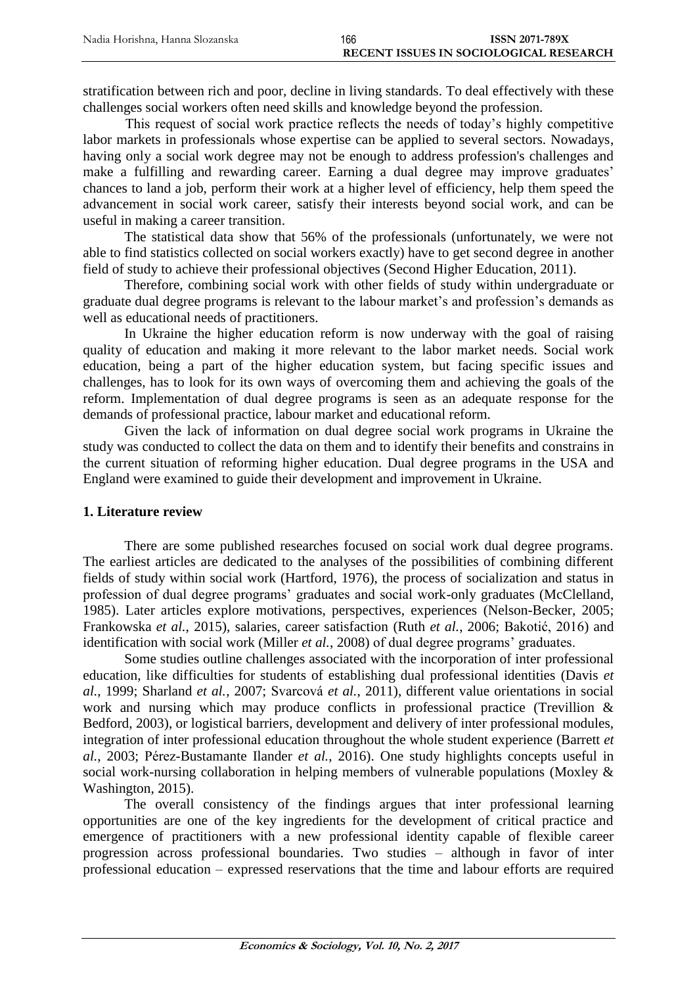stratification between rich and poor, decline in living standards. To deal effectively with these challenges social workers often need skills and knowledge beyond the profession.

This request of social work practice reflects the needs of today's highly competitive labor markets in professionals whose expertise can be applied to several sectors. Nowadays, having only a social work degree may not be enough to address profession's challenges and make a fulfilling and rewarding career. Earning a dual degree may improve graduates' chances to land a job, perform their work at a higher level of efficiency, help them speed the advancement in social work career, satisfy their interests beyond social work, and can be useful in making a career transition.

The statistical data show that 56% of the professionals (unfortunately, we were not able to find statistics collected on social workers exactly) have to get second degree in another field of study to achieve their professional objectives (Second Higher Education, 2011).

Therefore, combining social work with other fields of study within undergraduate or graduate dual degree programs is relevant to the labour market's and profession's demands as well as educational needs of practitioners.

In Ukraine the higher education reform is now underway with the goal of raising quality of education and making it more relevant to the labor market needs. Social work education, being a part of the higher education system, but facing specific issues and challenges, has to look for its own ways of overcoming them and achieving the goals of the reform. Implementation of dual degree programs is seen as an adequate response for the demands of professional practice, labour market and educational reform.

Given the lack of information on dual degree social work programs in Ukraine the study was conducted to collect the data on them and to identify their benefits and constrains in the current situation of reforming higher education. Dual degree programs in the USA and England were examined to guide their development and improvement in Ukraine.

#### **1. Literature review**

There are some published researches focused on social work dual degree programs. The earliest articles are dedicated to the analyses of the possibilities of combining different fields of study within social work (Hartford, 1976), the process of socialization and status in profession of dual degree programs' graduates and social work-only graduates [\(McClelland,](#page-12-0)  [1985\)](#page-12-0). Later articles explore motivations, perspectives, experiences (Nelson-Becker, 2005; Frankowska *et al.*, 2015), salaries, career satisfaction (Ruth *et al.*[, 2006;](#page-12-1) Bakotić, 2016) and identification with social work (Miller *et al.*, 2008) of dual degree programs' graduates.

Some studies outline challenges associated with the incorporation of inter professional education, like difficulties for students of establishing dual professional identities [\(Davis](#page-11-0) *et al.*[, 1999;](#page-11-0) [Sharland](#page-12-2) *et al.*, 2007; Svarcová *et al.*, 2011), different value orientations in social work and nursing which may produce conflicts in professional practice [\(Trevillion &](#page-13-0)  [Bedford, 2003\)](#page-13-0), or logistical barriers, development and delivery of inter professional modules, integration of inter professional education throughout the whole student experience (Barrett *et al.*, 2003; Pérez-Bustamante Ilander *et al.*, 2016). One study highlights concepts useful in social work-nursing collaboration in helping members of vulnerable populations [\(Moxley &](#page-12-3)  [Washington, 2015\)](#page-12-3).

The overall consistency of the findings argues that inter professional learning opportunities are one of the key ingredients for the development of critical practice and emergence of practitioners with a new professional identity capable of flexible career progression across professional boundaries. Two studies – although in favor of inter professional education – expressed reservations that the time and labour efforts are required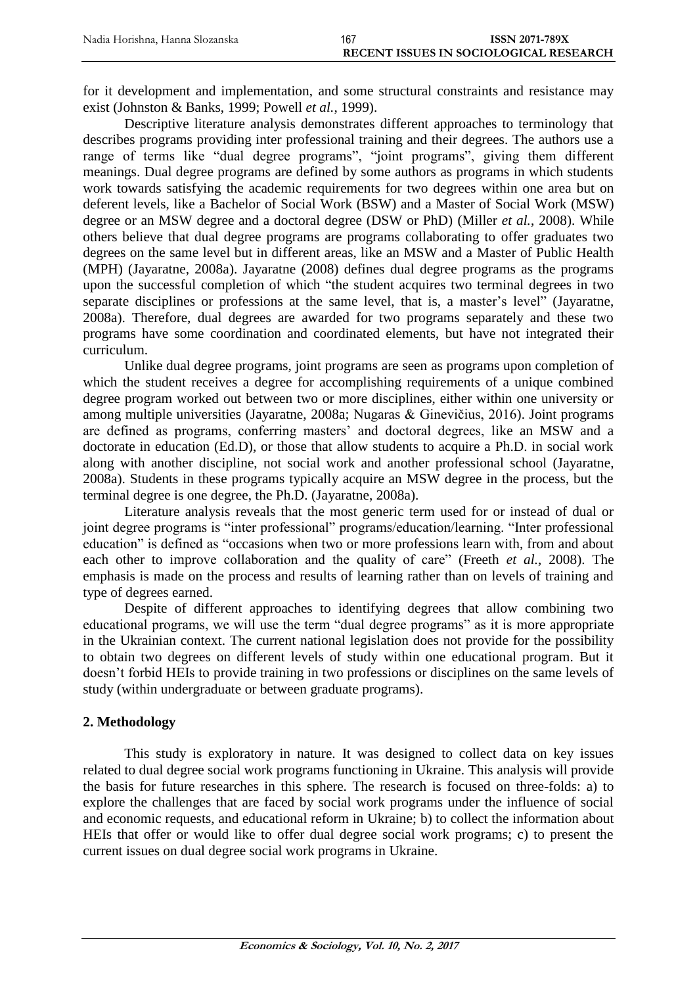for it development and implementation, and some structural constraints and resistance may exist [\(Johnston & Banks, 1999;](#page-12-4) [Powell](#page-12-5) *et al.*, 1999).

Descriptive literature analysis demonstrates different approaches to terminology that describes programs providing inter professional training and their degrees. The authors use a range of terms like "dual degree programs", "joint programs", giving them different meanings. Dual degree programs are defined by some authors as programs in which students work towards satisfying the academic requirements for two degrees within one area but on deferent levels, like a Bachelor of Social Work (BSW) and a Master of Social Work (MSW) degree or an MSW degree and a doctoral degree (DSW or PhD) (Miller *et al.*, 2008). While others believe that dual degree programs are programs collaborating to offer graduates two degrees on the same level but in different areas, like an MSW and a Master of Public Health (MPH) [\(Jayaratne, 2008a\)](#page-12-6). Jayaratne (2008) defines dual degree programs as the programs upon the successful completion of which "the student acquires two terminal degrees in two separate disciplines or professions at the same level, that is, a master's level" [\(Jayaratne,](#page-12-6)  [2008a\)](#page-12-6). Therefore, dual degrees are awarded for two programs separately and these two programs have some coordination and coordinated elements, but have not integrated their curriculum.

Unlike dual degree programs, joint programs are seen as programs upon completion of which the student receives a degree for accomplishing requirements of a unique combined degree program worked out between two or more disciplines, either within one university or among multiple universities [\(Jayaratne, 2008a;](#page-12-6) Nugaras & Ginevičius, 2016). Joint programs are defined as programs, conferring masters' and doctoral degrees, like an MSW and a doctorate in education (Ed.D), or those that allow students to acquire a Ph.D. in social work along with another discipline, not social work and another professional school [\(Jayaratne,](#page-12-6)  [2008a\)](#page-12-6). Students in these programs typically acquire an MSW degree in the process, but the terminal degree is one degree, the Ph.D. [\(Jayaratne, 2008a\)](#page-12-6).

Literature analysis reveals that the most generic term used for or instead of dual or joint degree programs is "inter professional" programs/education/learning. "Inter professional education" is defined as "occasions when two or more professions learn with, from and about each other to improve collaboration and the quality of care" (Freeth *et al.*, 2008). The emphasis is made on the process and results of learning rather than on levels of training and type of degrees earned.

Despite of different approaches to identifying degrees that allow combining two educational programs, we will use the term "dual degree programs" as it is more appropriate in the Ukrainian context. The current national legislation does not provide for the possibility to obtain two degrees on different levels of study within one educational program. But it doesn't forbid HEIs to provide training in two professions or disciplines on the same levels of study (within undergraduate or between graduate programs).

## **2. Methodology**

This study is exploratory in nature. It was designed to collect data on key issues related to dual degree social work programs functioning in Ukraine. This analysis will provide the basis for future researches in this sphere. The research is focused on three-folds: a) to explore the challenges that are faced by social work programs under the influence of social and economic requests, and educational reform in Ukraine; b) to collect the information about HEIs that offer or would like to offer dual degree social work programs; c) to present the current issues on dual degree social work programs in Ukraine.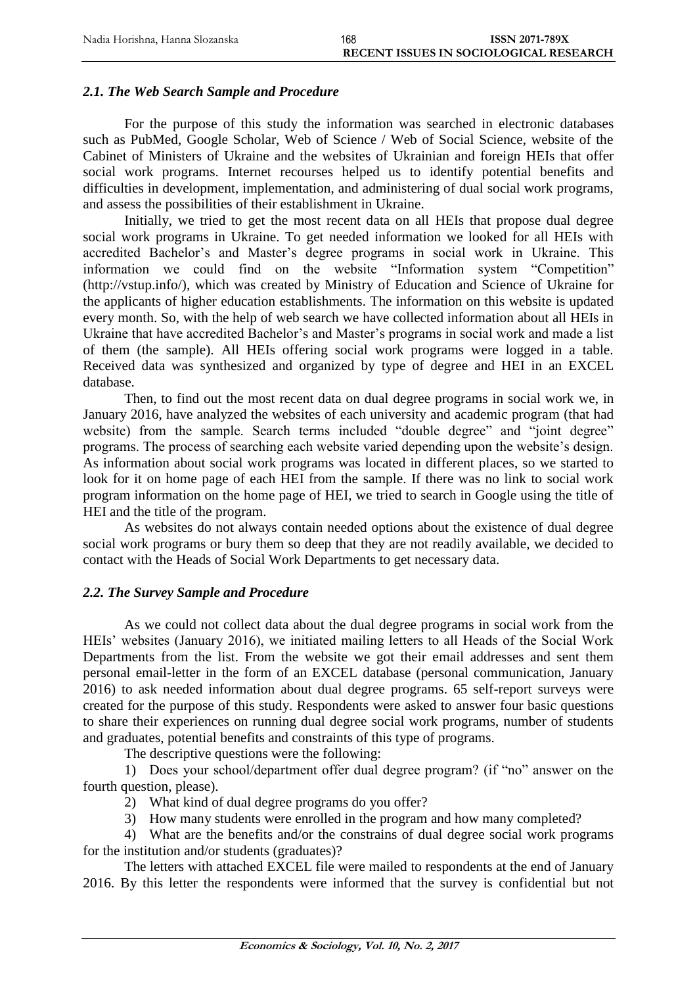## *2.1. The Web Search Sample and Procedure*

For the purpose of this study the information was searched in electronic databases such as PubMed, Google Scholar, Web of Science / Web of Social Science, website of the Cabinet of Ministers of Ukraine and the websites of Ukrainian and foreign HEIs that offer social work programs. Internet recourses helped us to identify potential benefits and difficulties in development, implementation, and administering of dual social work programs, and assess the possibilities of their establishment in Ukraine.

Initially, we tried to get the most recent data on all HEIs that propose dual degree social work programs in Ukraine. To get needed information we looked for all HEIs with accredited Bachelor's and Master's degree programs in social work in Ukraine. This information we could find on the website "Information system "Competition" [\(http://vstup.info/\)](http://vstup.info/), which was created by Ministry of Education and Science of Ukraine for the applicants of higher education establishments. The information on this website is updated every month. So, with the help of web search we have collected information about all HEIs in Ukraine that have accredited Bachelor's and Master's programs in social work and made a list of them (the sample). All HEIs offering social work programs were logged in a table. Received data was synthesized and organized by type of degree and HEI in an EXCEL database.

Then, to find out the most recent data on dual degree programs in social work we, in January 2016, have analyzed the websites of each university and academic program (that had website) from the sample. Search terms included "double degree" and "joint degree" programs. The process of searching each website varied depending upon the website's design. As information about social work programs was located in different places, so we started to look for it on home page of each HEI from the sample. If there was no link to social work program information on the home page of HEI, we tried to search in Google using the title of HEI and the title of the program.

As websites do not always contain needed options about the existence of dual degree social work programs or bury them so deep that they are not readily available, we decided to contact with the Heads of Social Work Departments to get necessary data.

#### *2.2. The Survey Sample and Procedure*

As we could not collect data about the dual degree programs in social work from the HEIs' websites (January 2016), we initiated mailing letters to all Heads of the Social Work Departments from the list. From the website we got their email addresses and sent them personal email-letter in the form of an EXCEL database (personal communication, January 2016) to ask needed information about dual degree programs. 65 self-report surveys were created for the purpose of this study. Respondents were asked to answer four basic questions to share their experiences on running dual degree social work programs, number of students and graduates, potential benefits and constraints of this type of programs.

The descriptive questions were the following:

1) Does your school/department offer dual degree program? (if "no" answer on the fourth question, please).

2) What kind of dual degree programs do you offer?

3) How many students were enrolled in the program and how many completed?

4) What are the benefits and/or the constrains of dual degree social work programs for the institution and/or students (graduates)?

The letters with attached EXCEL file were mailed to respondents at the end of January 2016. By this letter the respondents were informed that the survey is confidential but not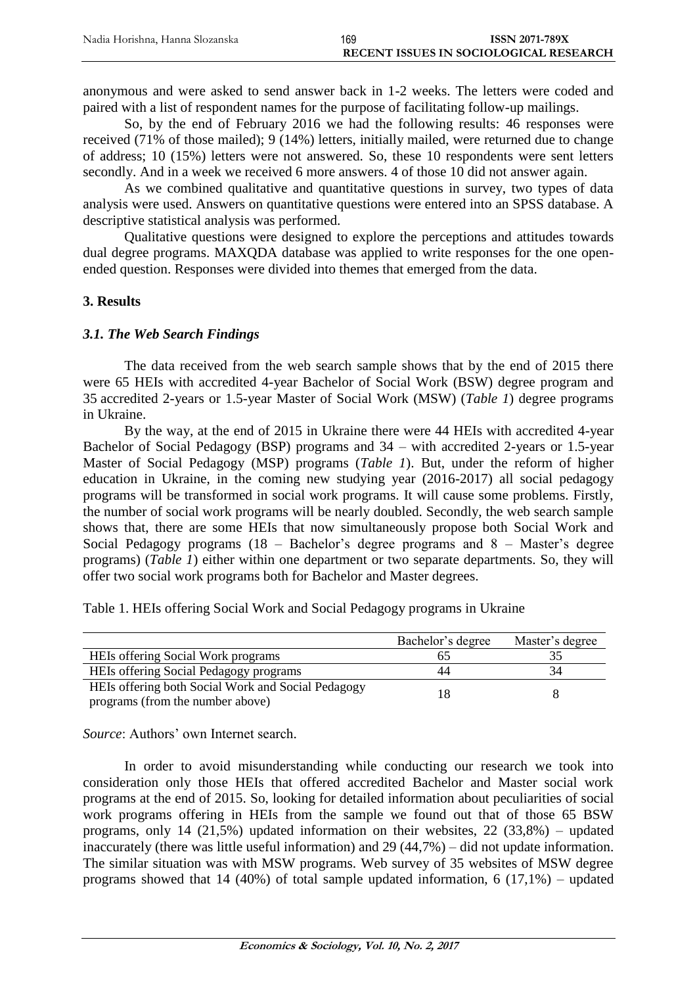anonymous and were asked to send answer back in 1-2 weeks. The letters were coded and paired with a list of respondent names for the purpose of facilitating follow-up mailings.

So, by the end of February 2016 we had the following results: 46 responses were received (71% of those mailed); 9 (14%) letters, initially mailed, were returned due to change of address; 10 (15%) letters were not answered. So, these 10 respondents were sent letters secondly. And in a week we received 6 more answers. 4 of those 10 did not answer again.

As we combined qualitative and quantitative questions in survey, two types of data analysis were used. Answers on quantitative questions were entered into an SPSS database. A descriptive statistical analysis was performed.

Qualitative questions were designed to explore the perceptions and attitudes towards dual degree programs. MAXQDA database was applied to write responses for the one openended question. Responses were divided into themes that emerged from the data.

#### **3. Results**

#### *3.1. The Web Search Findings*

The data received from the web search sample shows that by the end of 2015 there were 65 HEIs with accredited 4-year Bachelor of Social Work (BSW) degree program and 35 accredited 2-years or 1.5-year Master of Social Work (MSW) (*Table 1*) degree programs in Ukraine.

By the way, at the end of 2015 in Ukraine there were 44 HEIs with accredited 4-year Bachelor of Social Pedagogy (BSP) programs and 34 – with accredited 2-years or 1.5-year Master of Social Pedagogy (MSP) programs (*Table 1*). But, under the reform of higher education in Ukraine, in the coming new studying year (2016-2017) all social pedagogy programs will be transformed in social work programs. It will cause some problems. Firstly, the number of social work programs will be nearly doubled. Secondly, the web search sample shows that, there are some HEIs that now simultaneously propose both Social Work and Social Pedagogy programs (18 – Bachelor's degree programs and 8 – Master's degree programs) (*Table 1*) either within one department or two separate departments. So, they will offer two social work programs both for Bachelor and Master degrees.

Table 1. HEIs offering Social Work and Social Pedagogy programs in Ukraine

|                                                    | Bachelor's degree | Master's degree |
|----------------------------------------------------|-------------------|-----------------|
| HEIs offering Social Work programs                 |                   |                 |
| HEIs offering Social Pedagogy programs             | 44                | 34              |
| HEIs offering both Social Work and Social Pedagogy |                   |                 |
| programs (from the number above)                   |                   |                 |

*Source*: Authors' own Internet search.

In order to avoid misunderstanding while conducting our research we took into consideration only those HEIs that offered accredited Bachelor and Master social work programs at the end of 2015. So, looking for detailed information about peculiarities of social work programs offering in HEIs from the sample we found out that of those 65 BSW programs, only 14  $(21.5\%)$  updated information on their websites,  $22 (33.8\%)$  – updated inaccurately (there was little useful information) and 29 (44,7%) – did not update information. The similar situation was with MSW programs. Web survey of 35 websites of MSW degree programs showed that 14 (40%) of total sample updated information, 6 (17,1%) – updated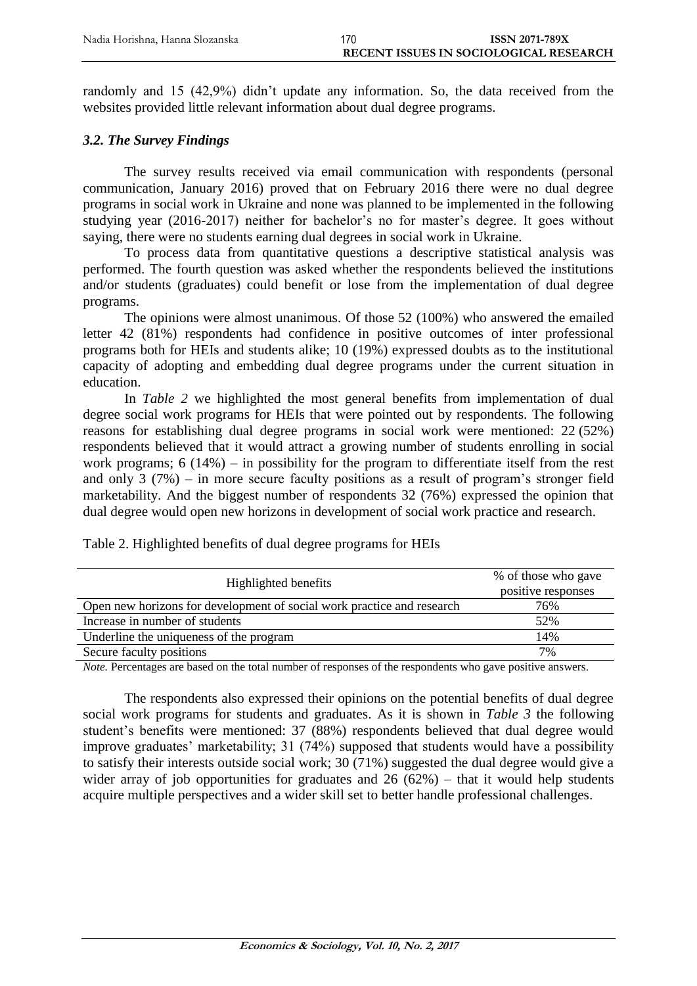randomly and 15 (42,9%) didn't update any information. So, the data received from the websites provided little relevant information about dual degree programs.

### *3.2. The Survey Findings*

The survey results received via email communication with respondents (personal communication, January 2016) proved that on February 2016 there were no dual degree programs in social work in Ukraine and none was planned to be implemented in the following studying year (2016-2017) neither for bachelor's no for master's degree. It goes without saying, there were no students earning dual degrees in social work in Ukraine.

To process data from quantitative questions a descriptive statistical analysis was performed. The fourth question was asked whether the respondents believed the institutions and/or students (graduates) could benefit or lose from the implementation of dual degree programs.

The opinions were almost unanimous. Of those 52 (100%) who answered the emailed letter 42 (81%) respondents had confidence in positive outcomes of inter professional programs both for HEIs and students alike; 10 (19%) expressed doubts as to the institutional capacity of adopting and embedding dual degree programs under the current situation in education.

In *Table 2* we highlighted the most general benefits from implementation of dual degree social work programs for HEIs that were pointed out by respondents. The following reasons for establishing dual degree programs in social work were mentioned: 22 (52%) respondents believed that it would attract a growing number of students enrolling in social work programs; 6 (14%) – in possibility for the program to differentiate itself from the rest and only 3 (7%) – in more secure faculty positions as a result of program's stronger field marketability. And the biggest number of respondents 32 (76%) expressed the opinion that dual degree would open new horizons in development of social work practice and research.

| Highlighted benefits                                                   | % of those who gave<br>positive responses |
|------------------------------------------------------------------------|-------------------------------------------|
| Open new horizons for development of social work practice and research | 76%                                       |
| Increase in number of students                                         | 52%                                       |
| Underline the uniqueness of the program                                | 14%                                       |
| Secure faculty positions                                               | 7%                                        |

Table 2. Highlighted benefits of dual degree programs for HEIs

*Note.* Percentages are based on the total number of responses of the respondents who gave positive answers.

The respondents also expressed their opinions on the potential benefits of dual degree social work programs for students and graduates. As it is shown in *Table 3* the following student's benefits were mentioned: 37 (88%) respondents believed that dual degree would improve graduates' marketability; 31 (74%) supposed that students would have a possibility to satisfy their interests outside social work; 30 (71%) suggested the dual degree would give a wider array of job opportunities for graduates and  $26 (62%)$  – that it would help students acquire multiple perspectives and a wider skill set to better handle professional challenges.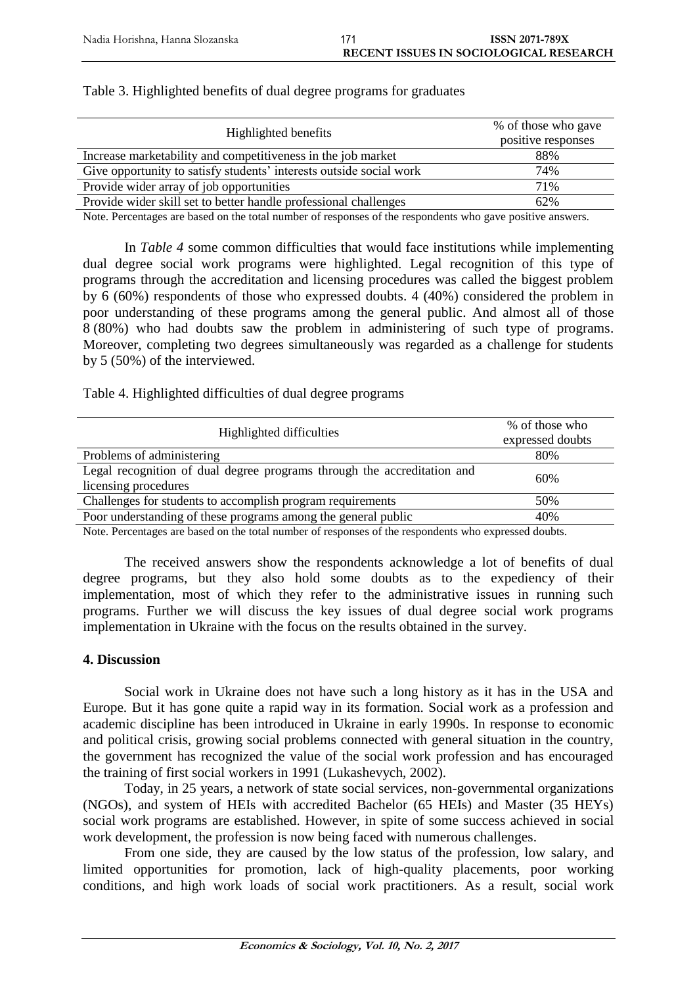| Highlighted benefits                                                | % of those who gave<br>positive responses |
|---------------------------------------------------------------------|-------------------------------------------|
|                                                                     |                                           |
| Increase marketability and competitiveness in the job market        | 88%                                       |
| Give opportunity to satisfy students' interests outside social work | 74%                                       |
| Provide wider array of job opportunities                            | 71%                                       |
| Provide wider skill set to better handle professional challenges    | 62%                                       |

Table 3. Highlighted benefits of dual degree programs for graduates

Note. Percentages are based on the total number of responses of the respondents who gave positive answers.

In *Table 4* some common difficulties that would face institutions while implementing dual degree social work programs were highlighted. Legal recognition of this type of programs through the accreditation and licensing procedures was called the biggest problem by 6 (60%) respondents of those who expressed doubts. 4 (40%) considered the problem in poor understanding of these programs among the general public. And almost all of those 8 (80%) who had doubts saw the problem in administering of such type of programs. Moreover, completing two degrees simultaneously was regarded as a challenge for students by 5 (50%) of the interviewed.

Table 4. Highlighted difficulties of dual degree programs

|                                                                         | % of those who   |  |
|-------------------------------------------------------------------------|------------------|--|
| Highlighted difficulties                                                | expressed doubts |  |
| Problems of administering                                               | 80%              |  |
| Legal recognition of dual degree programs through the accreditation and | 60%              |  |
| licensing procedures                                                    |                  |  |
| Challenges for students to accomplish program requirements              | 50%              |  |
| Poor understanding of these programs among the general public           | 40%              |  |
|                                                                         |                  |  |

Note. Percentages are based on the total number of responses of the respondents who expressed doubts.

The received answers show the respondents acknowledge a lot of benefits of dual degree programs, but they also hold some doubts as to the expediency of their implementation, most of which they refer to the administrative issues in running such programs. Further we will discuss the key issues of dual degree social work programs implementation in Ukraine with the focus on the results obtained in the survey.

#### **4. Discussion**

Social work in Ukraine does not have such a long history as it has in the USA and Europe. But it has gone quite a rapid way in its formation. Social work as a profession and academic discipline has been introduced in Ukraine in early 1990s. In response to economic and political crisis, growing social problems connected with general situation in the country, the government has recognized the value of the social work profession and has encouraged the training of first social workers in 1991 (Lukashevych, 2002).

Today, in 25 years, a network of state social services, non-governmental organizations (NGOs), and system of HEIs with accredited Bachelor (65 HEIs) and Master (35 HEYs) social work programs are established. However, in spite of some success achieved in social work development, the profession is now being faced with numerous challenges.

From one side, they are caused by the low status of the profession, low salary, and limited opportunities for promotion, lack of high-quality placements, poor working conditions, and high work loads of social work practitioners. As a result, social work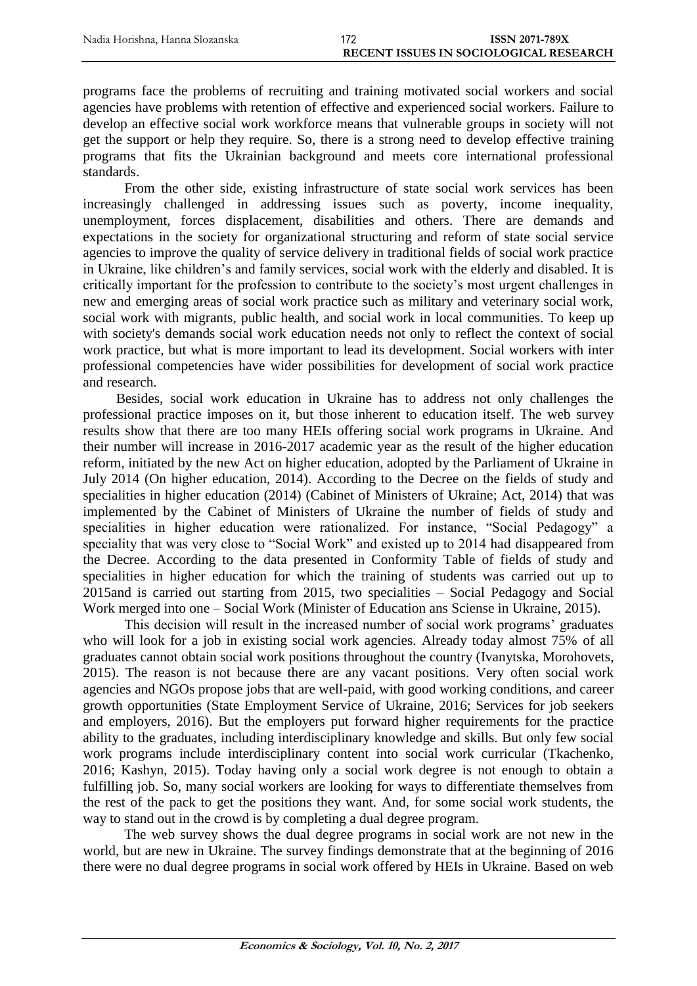programs face the problems of recruiting and training motivated social workers and social agencies have problems with retention of effective and experienced social workers. Failure to develop an effective social work workforce means that vulnerable groups in society will not get the support or help they require. So, there is a strong need to develop effective training programs that fits the Ukrainian background and meets core international professional standards.

From the other side, existing infrastructure of state social work services has been increasingly challenged in addressing issues such as poverty, income inequality, unemployment, forces displacement, disabilities and others. There are demands and expectations in the society for organizational structuring and reform of state social service agencies to improve the quality of service delivery in traditional fields of social work practice in Ukraine, like children's and family services, social work with the elderly and disabled. It is critically important for the profession to contribute to the society's most urgent challenges in new and emerging areas of social work practice such as military and veterinary social work, social work with migrants, public health, and social work in local communities. To keep up with society's demands social work education needs not only to reflect the context of social work practice, but what is more important to lead its development. Social workers with inter professional competencies have wider possibilities for development of social work practice and research.

Besides, social work education in Ukraine has to address not only challenges the professional practice imposes on it, but those inherent to education itself. The web survey results show that there are too many HEIs offering social work programs in Ukraine. And their number will increase in 2016-2017 academic year as the result of the higher education reform, initiated by the new Act on higher education, adopted by the Parliament of Ukraine in July 2014 (On higher education, 2014). According to the Decree on the fields of study and specialities in higher education (2014) [\(Cabinet of Ministers of Ukraine; Act, 2014\)](#page-11-0) that was implemented by the Cabinet of Ministers of Ukraine the number of fields of study and specialities in higher education were rationalized. For instance, "Social Pedagogy" a speciality that was very close to "Social Work" and existed up to 2014 had disappeared from the Decree. According to the data presented in Conformity Table of fields of study and specialities in higher education for which the training of students was carried out up to 2015and is carried out starting from 2015, two specialities – Social Pedagogy and Social Work merged into one – Social Work (Minister of Education ans Sciense in Ukraine, 2015).

This decision will result in the increased number of social work programs' graduates who will look for a job in existing social work agencies. Already today almost 75% of all graduates cannot obtain social work positions throughout the country (Ivanytska, Morohovets, 2015). The reason is not because there are any vacant positions. Very often social work agencies and NGOs propose jobs that are well-paid, with good working conditions, and career growth opportunities [\(State Employment Service of Ukraine,](http://www.dcz.gov.ua/control/en/publish/article?art_id=268592&cat_id=173136) 2016; Services for job seekers and employers, 2016). But the employers put forward higher requirements for the practice ability to the graduates, including interdisciplinary knowledge and skills. But only few social work programs include interdisciplinary content into social work curricular (Tkachenko, 2016; Kashyn, 2015). Today having only a social work degree is not enough to obtain a fulfilling job. So, many social workers are looking for ways to differentiate themselves from the rest of the pack to get the positions they want. And, for some social work students, the way to stand out in the crowd is by completing a dual degree program.

The web survey shows the dual degree programs in social work are not new in the world, but are new in Ukraine. The survey findings demonstrate that at the beginning of 2016 there were no dual degree programs in social work offered by HEIs in Ukraine. Based on web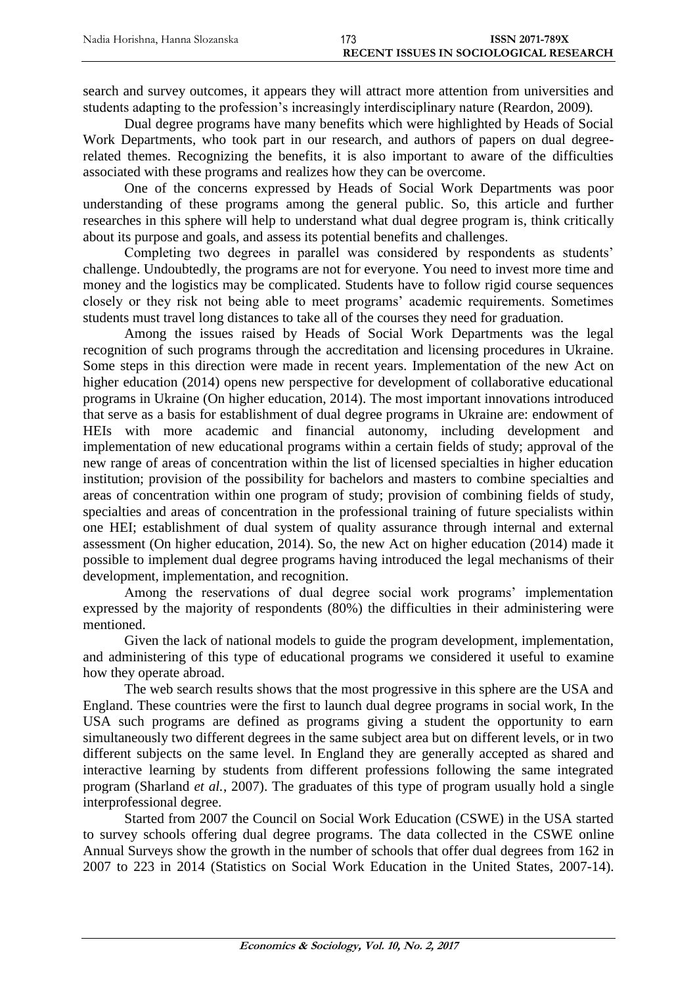search and survey outcomes, it appears they will attract more attention from universities and students adapting to the profession's increasingly interdisciplinary nature (Reardon, 2009)*.*

Dual degree programs have many benefits which were highlighted by Heads of Social Work Departments, who took part in our research, and authors of papers on dual degreerelated themes. Recognizing the benefits, it is also important to aware of the difficulties associated with these programs and realizes how they can be overcome.

One of the concerns expressed by Heads of Social Work Departments was poor understanding of these programs among the general public. So, this article and further researches in this sphere will help to understand what dual degree program is, think critically about its purpose and goals, and assess its potential benefits and challenges.

Completing two degrees in parallel was considered by respondents as students' challenge. Undoubtedly, the programs are not for everyone. You need to invest more time and money and the logistics may be complicated. Students have to follow rigid course sequences closely or they risk not being able to meet programs' academic requirements. Sometimes students must travel long distances to take all of the courses they need for graduation.

Among the issues raised by Heads of Social Work Departments was the legal recognition of such programs through the accreditation and licensing procedures in Ukraine. Some steps in this direction were made in recent years. Implementation of the new Act on higher education (2014) opens new perspective for development of collaborative educational programs in Ukraine (On higher education, 2014). The most important innovations introduced that serve as a basis for establishment of dual degree programs in Ukraine are: endowment of HEIs with more academic and financial autonomy, including development and implementation of new educational programs within a certain fields of study; approval of the new range of areas of concentration within the list of licensed specialties in higher education institution; provision of the possibility for bachelors and masters to combine specialties and areas of concentration within one program of study; provision of combining fields of study, specialties and areas of concentration in the professional training of future specialists within one HEI; establishment of dual system of quality assurance through internal and external assessment (On higher education, 2014). So, the new Act on higher education (2014) made it possible to implement dual degree programs having introduced the legal mechanisms of their development, implementation, and recognition.

Among the reservations of dual degree social work programs' implementation expressed by the majority of respondents (80%) the difficulties in their administering were mentioned.

Given the lack of national models to guide the program development, implementation, and administering of this type of educational programs we considered it useful to examine how they operate abroad.

The web search results shows that the most progressive in this sphere are the USA and England. These countries were the first to launch dual degree programs in social work, In the USA such programs are defined as programs giving a student the opportunity to earn simultaneously two different degrees in the same subject area but on different levels, or in two different subjects on the same level. In England they are generally accepted as shared and interactive learning by students from different professions following the same integrated program [\(Sharland](#page-12-2) *et al.*, 2007). The graduates of this type of program usually hold a single interprofessional degree.

Started from 2007 the Council on Social Work Education (CSWE) in the USA started to survey schools offering dual degree programs. The data collected in the CSWE online Annual Surveys show the growth in the number of schools that offer dual degrees from 162 in 2007 to 223 in 2014 [\(Statistics on Social Work Education in the United States,](#page-12-0) 2007-14).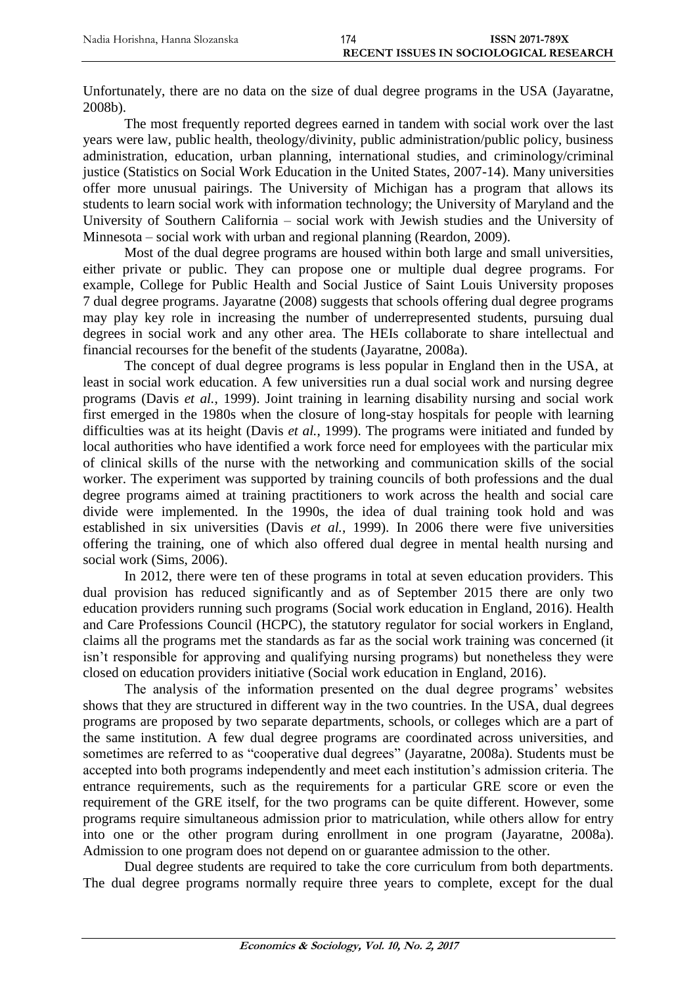Unfortunately, there are no data on the size of dual degree programs in the USA [\(Jayaratne,](#page-12-7)  [2008b\)](#page-12-7).

The most frequently reported degrees earned in tandem with social work over the last years were law, public health, theology/divinity, public administration/public policy, business administration, education, urban planning, international studies, and criminology/criminal justice [\(Statistics on Social Work Education in the United States, 2007-14\)](#page-12-0). Many universities offer more unusual pairings. The University of Michigan has a program that allows its students to learn social work with information technology; the University of Maryland and the University of Southern California – social work with Jewish studies and the University of Minnesota – social work with urban and regional planning (Reardon, 2009).

Most of the dual degree programs are housed within both large and small universities, either private or public. They can propose one or multiple dual degree programs. For example, College for Public Health and Social Justice of Saint Louis University proposes 7 dual degree programs. Jayaratne (2008) suggests that schools offering dual degree programs may play key role in increasing the number of underrepresented students, pursuing dual degrees in social work and any other area. The HEIs collaborate to share intellectual and financial recourses for the benefit of the students [\(Jayaratne, 2008a\)](#page-12-6).

The concept of dual degree programs is less popular in England then in the USA, at least in social work education. A few universities run a dual social work and nursing degree programs (Davis *et al.*[, 1999\)](#page-11-0). Joint training in learning disability nursing and social work first emerged in the 1980s when the closure of long-stay hospitals for people with learning difficulties was at its height [\(Davis](#page-11-0) *et al.*, 1999). The programs were initiated and funded by local authorities who have identified a work force need for employees with the particular mix of clinical skills of the nurse with the networking and communication skills of the social worker. The experiment was supported by training councils of both professions and the dual degree programs aimed at training practitioners to work across the health and social care divide were implemented. In the 1990s, the idea of dual training took hold and was established in six universities (Davis *et al.*[, 1999\)](#page-11-0). In 2006 there were five universities offering the training, one of which also offered dual degree in mental health nursing and social work [\(Sims, 2006\)](#page-13-1).

In 2012, there were ten of these programs in total at seven education providers. This dual provision has reduced significantly and as of September 2015 there are only two education providers running such programs [\(Social work education in England, 2016\)](#page-13-2). Health and Care Professions Council (HCPC), the statutory regulator for social workers in England, claims all the programs met the standards as far as the social work training was concerned (it isn't responsible for approving and qualifying nursing programs) but nonetheless they were closed on education providers initiative [\(Social work education in England, 2016\)](#page-13-2).

The analysis of the information presented on the dual degree programs' websites shows that they are structured in different way in the two countries. In the USA, dual degrees programs are proposed by two separate departments, schools, or colleges which are a part of the same institution. A few dual degree programs are coordinated across universities, and sometimes are referred to as "cooperative dual degrees" [\(Jayaratne,](#page-12-6) 2008a). Students must be accepted into both programs independently and meet each institution's admission criteria. The entrance requirements, such as the requirements for a particular GRE score or even the requirement of the GRE itself, for the two programs can be quite different. However, some programs require simultaneous admission prior to matriculation, while others allow for entry into one or the other program during enrollment in one program [\(Jayaratne,](#page-12-6) 2008a). Admission to one program does not depend on or guarantee admission to the other.

Dual degree students are required to take the core curriculum from both departments. The dual degree programs normally require three years to complete, except for the dual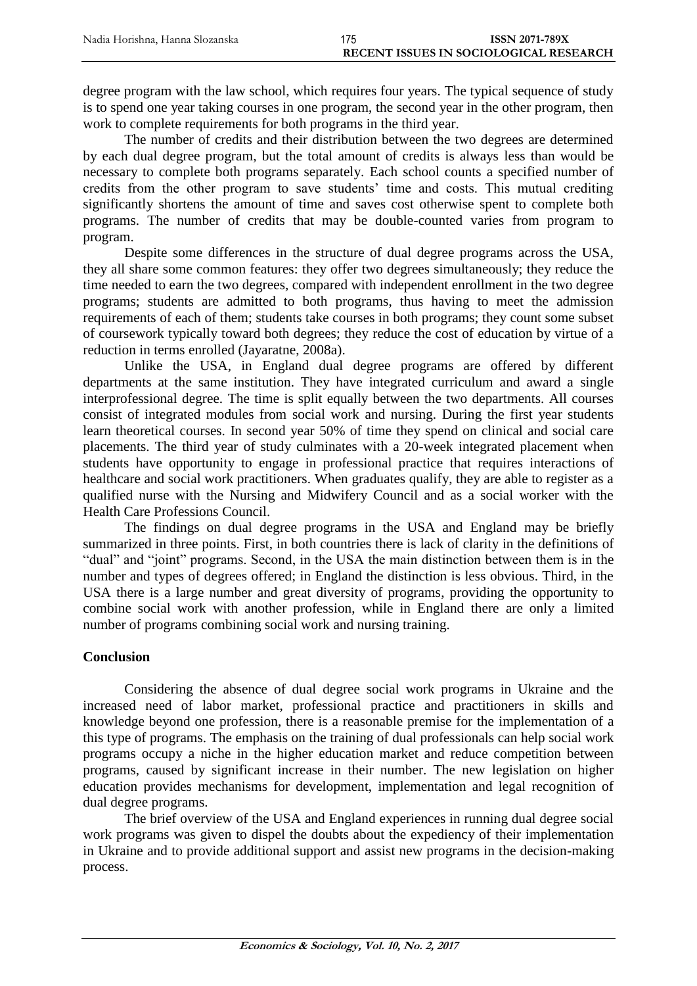degree program with the law school, which requires four years. The typical sequence of study is to spend one year taking courses in one program, the second year in the other program, then work to complete requirements for both programs in the third year.

The number of credits and their distribution between the two degrees are determined by each dual degree program, but the total amount of credits is always less than would be necessary to complete both programs separately. Each school counts a specified number of credits from the other program to save students' time and costs. This mutual crediting significantly shortens the amount of time and saves cost otherwise spent to complete both programs. The number of credits that may be double-counted varies from program to program.

Despite some differences in the structure of dual degree programs across the USA, they all share some common features: they offer two degrees simultaneously; they reduce the time needed to earn the two degrees, compared with independent enrollment in the two degree programs; students are admitted to both programs, thus having to meet the admission requirements of each of them; students take courses in both programs; they count some subset of coursework typically toward both degrees; they reduce the cost of education by virtue of a reduction in terms enrolled [\(Jayaratne,](#page-12-6) 2008a).

Unlike the USA, in England dual degree programs are offered by different departments at the same institution. They have integrated curriculum and award a single interprofessional degree. The time is split equally between the two departments. All courses consist of integrated modules from social work and nursing. During the first year students learn theoretical courses. In second year 50% of time they spend on clinical and social care placements. The third year of study culminates with a 20-week integrated placement when students have opportunity to engage in professional practice that requires interactions of healthcare and social work practitioners. When graduates qualify, they are able to register as a qualified nurse with the Nursing and Midwifery Council and as a social worker with the Health Care Professions Council.

The findings on dual degree programs in the USA and England may be briefly summarized in three points. First, in both countries there is lack of clarity in the definitions of "dual" and "joint" programs. Second, in the USA the main distinction between them is in the number and types of degrees offered; in England the distinction is less obvious. Third, in the USA there is a large number and great diversity of programs, providing the opportunity to combine social work with another profession, while in England there are only a limited number of programs combining social work and nursing training.

## **Conclusion**

Considering the absence of dual degree social work programs in Ukraine and the increased need of labor market, professional practice and practitioners in skills and knowledge beyond one profession, there is a reasonable premise for the implementation of a this type of programs. The emphasis on the training of dual professionals can help social work programs occupy a niche in the higher education market and reduce competition between programs, caused by significant increase in their number. The new legislation on higher education provides mechanisms for development, implementation and legal recognition of dual degree programs.

The brief overview of the USA and England experiences in running dual degree social work programs was given to dispel the doubts about the expediency of their implementation in Ukraine and to provide additional support and assist new programs in the decision-making process.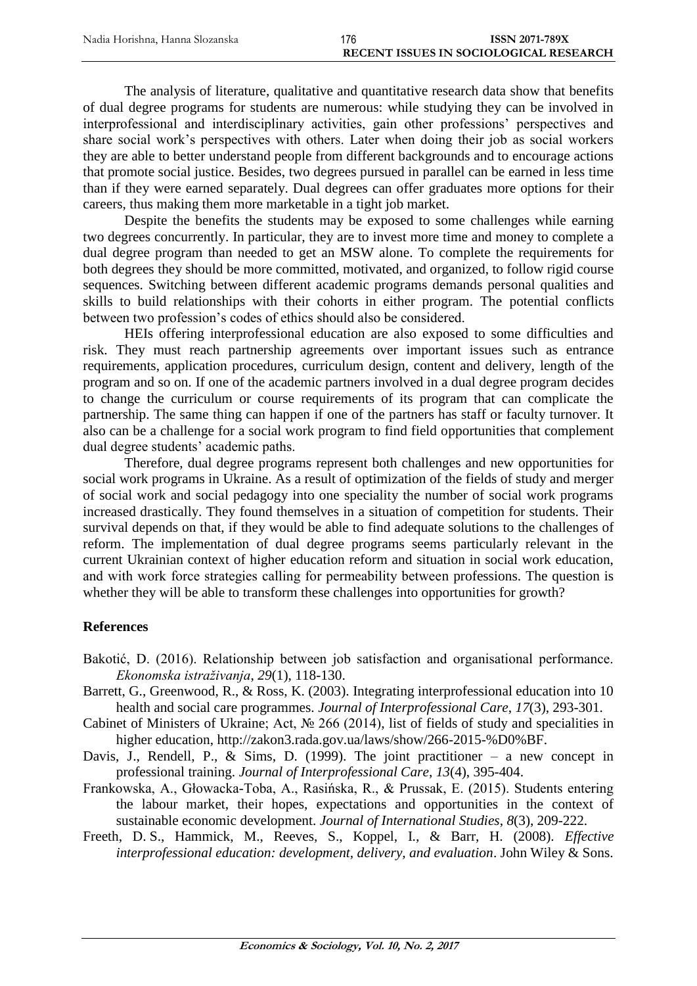The analysis of literature, qualitative and quantitative research data show that benefits of dual degree programs for students are numerous: while studying they can be involved in interprofessional and interdisciplinary activities, gain other professions' perspectives and share social work's perspectives with others. Later when doing their job as social workers they are able to better understand people from different backgrounds and to encourage actions that promote social justice. Besides, two degrees pursued in parallel can be earned in less time than if they were earned separately. Dual degrees can offer graduates more options for their careers, thus making them more marketable in a tight job market.

Despite the benefits the students may be exposed to some challenges while earning two degrees concurrently. In particular, they are to invest more time and money to complete a dual degree program than needed to get an MSW alone. To complete the requirements for both degrees they should be more committed, motivated, and organized, to follow rigid course sequences. Switching between different academic programs demands personal qualities and skills to build relationships with their cohorts in either program. The potential conflicts between two profession's codes of ethics should also be considered.

HEIs offering interprofessional education are also exposed to some difficulties and risk. They must reach partnership agreements over important issues such as entrance requirements, application procedures, curriculum design, content and delivery, length of the program and so on. If one of the academic partners involved in a dual degree program decides to change the curriculum or course requirements of its program that can complicate the partnership. The same thing can happen if one of the partners has staff or faculty turnover. It also can be a challenge for a social work program to find field opportunities that complement dual degree students' academic paths.

Therefore, dual degree programs represent both challenges and new opportunities for social work programs in Ukraine. As a result of optimization of the fields of study and merger of social work and social pedagogy into one speciality the number of social work programs increased drastically. They found themselves in a situation of competition for students. Their survival depends on that, if they would be able to find adequate solutions to the challenges of reform. The implementation of dual degree programs seems particularly relevant in the current Ukrainian context of higher education reform and situation in social work education, and with work force strategies calling for permеаbility between professions. The question is whether they will be able to transform these challenges into opportunities for growth?

## **References**

- Bakotić, D. (2016). Relationship between job satisfaction and organisational performance. *Ekonomska istraživanja*, *29*(1), 118-130.
- Barrett, G., Greenwood, R., & Ross, K. (2003). Integrating interprofessional education into 10 health and social care programmes. *Journal of Interprofessional Care*, *17*(3), 293-301.
- <span id="page-11-0"></span>Cabinet of Ministers of Ukraine; Act, № 266 (2014), list of fields of study and specialities in higher education, [http://zakon3.rada.gov.ua/laws/show/266-2015-%D0%BF.](http://zakon3.rada.gov.ua/laws/show/266-2015-%D0%BF)
- Davis, J., Rendell, P.,  $\&$  Sims, D. (1999). The joint practitioner a new concept in professional training. *Journal of Interprofessional Care*, *13*(4), 395-404.
- Frankowska, A., Głowacka-Toba, A., Rasińska, R., & Prussak, E. (2015). Students entering the labour market, their hopes, expectations and opportunities in the context of sustainable economic development. *Journal of International Studies*, *8*(3), 209-222.
- Freeth, D. S., Hammick, M., Reeves, S., Koppel, I., & Barr, H. (2008). *Effective interprofessional education: development, delivery, and evaluation*. John Wiley & Sons.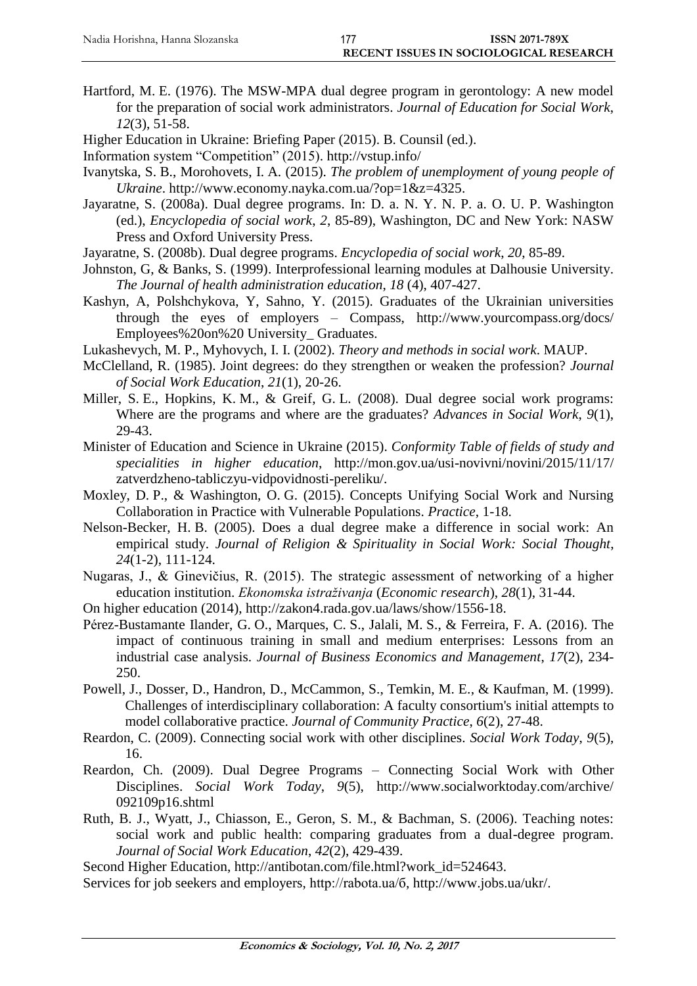- Hartford, M. E. (1976). The MSW-MPA dual degree program in gerontology: A new model for the preparation of social work administrators. *Journal of Education for Social Work*, *12*(3), 51-58.
- Higher Education in Ukraine: Briefing Paper (2015). B. Counsil (ed.).
- <span id="page-12-6"></span>Information system "Competition" (2015). <http://vstup.info/>
- Ivanytska, S. B., Morohovets, I. A. (2015). *The problem of unemployment of young people of Ukraine*. http://www.economy.nayka.com.ua/?op=1&z=4325.
- Jayaratne, S. (2008a). Dual degree programs. In: D. a. N. Y. N. P. a. O. U. P. Washington (ed.), *Encyclopedia of social work*, *2*, 85-89), Washington, DC and New York: NASW Press and Oxford University Press.
- <span id="page-12-7"></span>Jayaratne, S. (2008b). Dual degree programs. *Encyclopedia of social work*, *20*, 85-89.
- <span id="page-12-4"></span>Johnston, G, & Banks, S. (1999). Interprofessional learning modules at Dalhousie University. *The Journal of health administration education*, *18* (4), 407-427.
- <span id="page-12-0"></span>Kashyn, A, Polshchykova, Y, Sahno, Y. (2015). [Graduates of the Ukrainian universities](http://www.yourcompass.org/docs/Employees%20on%20University_Graduates.pdf)  [through the eyes of employers](http://www.yourcompass.org/docs/Employees%20on%20University_Graduates.pdf) – Compass, <http://www.yourcompass.org/docs/> Employees%20on%20 University\_ Graduates.
- Lukashevych, M. P., Myhovych, І. I. (2002). *Theory and methods in social work*. MAUP.
- McClelland, R. (1985). Joint degrees: do they strengthen or weaken the profession? *Journal of Social Work Education*, *21*(1), 20-26.
- Miller, S. E., Hopkins, K. M., & Greif, G. L. (2008). Dual degree social work programs: Where are the programs and where are the graduates? *Advances in Social Work*, *9*(1), 29-43.
- <span id="page-12-3"></span>Minister of Education and Science in Ukraine (2015). *Conformity Table of fields of study and specialities in higher education*, http://mon.gov.ua/usi-novivni/novini/2015/11/17/ zatverdzheno-tabliczyu-vidpovidnosti-pereliku/.
- Moxley, D. P., & Washington, O. G. (2015). Concepts Unifying Social Work and Nursing Collaboration in Practice with Vulnerable Populations. *Practice*, 1-18.
- Nelson-Becker, H. B. (2005). Does a dual degree make a difference in social work: An empirical study. *Journal of Religion & Spirituality in Social Work: Social Thought*, *24*(1-2), 111-124.
- Nugaras, J., & Ginevičius, R. (2015). The strategic assessment of networking of a higher education institution. *Ekonomska istraživanja* (*Economic research*), *28*(1), 31-44.
- <span id="page-12-5"></span>On higher education (2014), [http://zakon4.rada.gov.ua/laws/show/1556-18.](http://zakon4.rada.gov.ua/laws/show/1556-18)
- Pérez-Bustamante Ilander, G. O., Marques, C. S., Jalali, M. S., & Ferreira, F. A. (2016). The impact of continuous training in small and medium enterprises: Lessons from an industrial case analysis. *Journal of Business Economics and Management*, *17*(2), 234- 250.
- Powell, J., Dosser, D., Handron, D., McCammon, S., Temkin, M. E., & Kaufman, M. (1999). Challenges of interdisciplinary collaboration: A faculty consortium's initial attempts to model collaborative practice. *Journal of Community Practice*, *6*(2), 27-48.
- Reardon, C. (2009). Connecting social work with other disciplines. *Social Work Today*, *9*(5), 16.
- <span id="page-12-1"></span>Reardon, Ch. (2009). Dual Degree Programs – Connecting Social Work with Other Disciplines. *Social Work Today*, *9*(5), [http://www.socialworktoday.com/archive/](http://www.socialworktoday.com/archive/%20092109p16.shtml)  [092109p16.shtml](http://www.socialworktoday.com/archive/%20092109p16.shtml)
- Ruth, B. J., Wyatt, J., Chiasson, E., Geron, S. M., & Bachman, S. (2006). Teaching notes: social work and public health: comparing graduates from a dual-degree program. *Journal of Social Work Education*, *42*(2), 429-439.
- <span id="page-12-2"></span>Second Higher Education, http://antibotan.com/file.html?work\_id=524643.
- Services for job seekers and employers, [http://rabota.ua/б,](http://rabota.ua/б) http://www.jobs.ua/ukr/.